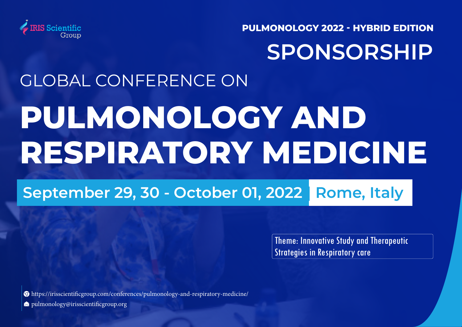**PULMONOLOGY 2022 - HYBRID EDITION**



## **SPONSORSHIP**

# GLOBAL CONFERENCE ON **PULMONOLOGY AND RESPIRATORY MEDICINE**

#### **September 29, 30 - October 01, 2022 | Rome, Italy**

Theme: Innovative Study and Therapeutic Strategies in Respiratory care

https://irisscientificgroup.com/conferences/pulmonology-and-respiratory-medicine/ pulmonology@irisscientificgroup.org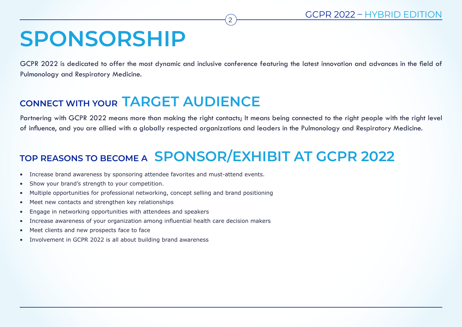## **SPONSORSHIP**

GCPR 2022 is dedicated to offer the most dynamic and inclusive conference featuring the latest innovation and advances in the field of Pulmonology and Respiratory Medicine.

#### **CONNECT WITH YOUR TARGET AUDIENCE**

Partnering with GCPR 2022 means more than making the right contacts; It means being connected to the right people with the right level of influence, and you are allied with a globally respected organizations and leaders in the Pulmonology and Respiratory Medicine.

#### **TOP REASONS TO BECOME A SPONSOR/EXHIBIT AT GCPR 2022**

- Increase brand awareness by sponsoring attendee favorites and must-attend events.
- Show your brand's strength to your competition.
- Multiple opportunities for professional networking, concept selling and brand positioning
- Meet new contacts and strengthen key relationships
- Engage in networking opportunities with attendees and speakers
- Increase awareness of your organization among influential health care decision makers
- Meet clients and new prospects face to face
- Involvement in GCPR 2022 is all about building brand awareness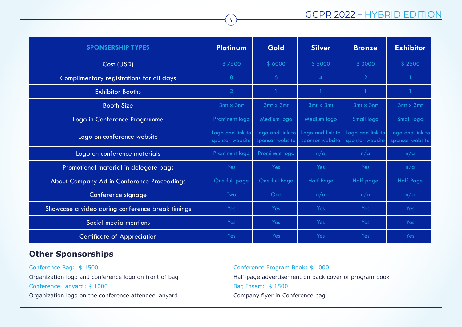#### 3) GCPR 2022 - HYBRID EDITION

| <b>SPONSERSHIP TYPES</b>                         | <b>Platinum</b>                     | Gold                                | <b>Silver</b>                       | <b>Bronze</b>                       | <b>Exhibitor</b>                    |
|--------------------------------------------------|-------------------------------------|-------------------------------------|-------------------------------------|-------------------------------------|-------------------------------------|
| Cost (USD)                                       | \$7500                              | \$6000                              | \$5000                              | \$3000                              | \$2500                              |
| Complimentary registrations for all days         | 8                                   | $\epsilon$                          | $\overline{4}$                      | $\overline{2}$                      |                                     |
| <b>Exhibitor Booths</b>                          | $\overline{2}$                      |                                     | $\overline{1}$                      | -1                                  |                                     |
| <b>Booth Size</b>                                | 3mt x 3mt                           | 3mt x 3mt                           | $3mt \times 3mt$                    | 3mt x 3mt                           | 3mt x 3mt                           |
| Logo in Conference Programme                     | Prominent logo                      | Medium logo                         | Medium logo                         | Small logo                          | Small logo                          |
| Logo on conference website                       | Logo and link to<br>sponsor website | Logo and link to<br>sponsor website | Logo and link to<br>sponsor website | Logo and link to<br>sponsor website | Logo and link to<br>sponsor website |
| Logo on conference materials                     | Prominent logo                      | Prominent logo                      | n/a                                 | n/a                                 | n/a                                 |
| Promotional material in delegate bags            | Yes                                 | Yes                                 | Yes                                 | Yes                                 | n/a                                 |
| About Company Ad in Conference Proceedings       | One full page                       | One full Page                       | <b>Half Page</b>                    | Half page                           | <b>Half Page</b>                    |
| Conference signage                               | Two                                 | One                                 | n/a                                 | n/a                                 | n/a                                 |
| Showcase a video during conference break timings | Yes                                 | Yes.                                | Yes                                 | Yes                                 | Yes                                 |
| Social media mentions                            | Yes:                                | Yes                                 | Yes                                 | Yes                                 | Yes                                 |
| <b>Certificate of Appreciation</b>               | <b>Yes</b>                          | Yes                                 | Yes                                 | Yes                                 | Yes                                 |

#### **Other Sponsorships**

Conference Bag: \$ 1500 Organization logo and conference logo on front of bag Conference Lanyard: \$ 1000 Organization logo on the conference attendee lanyard Conference Program Book: \$ 1000 Half-page advertisement on back cover of program book Bag Insert: \$ 1500 Company flyer in Conference bag